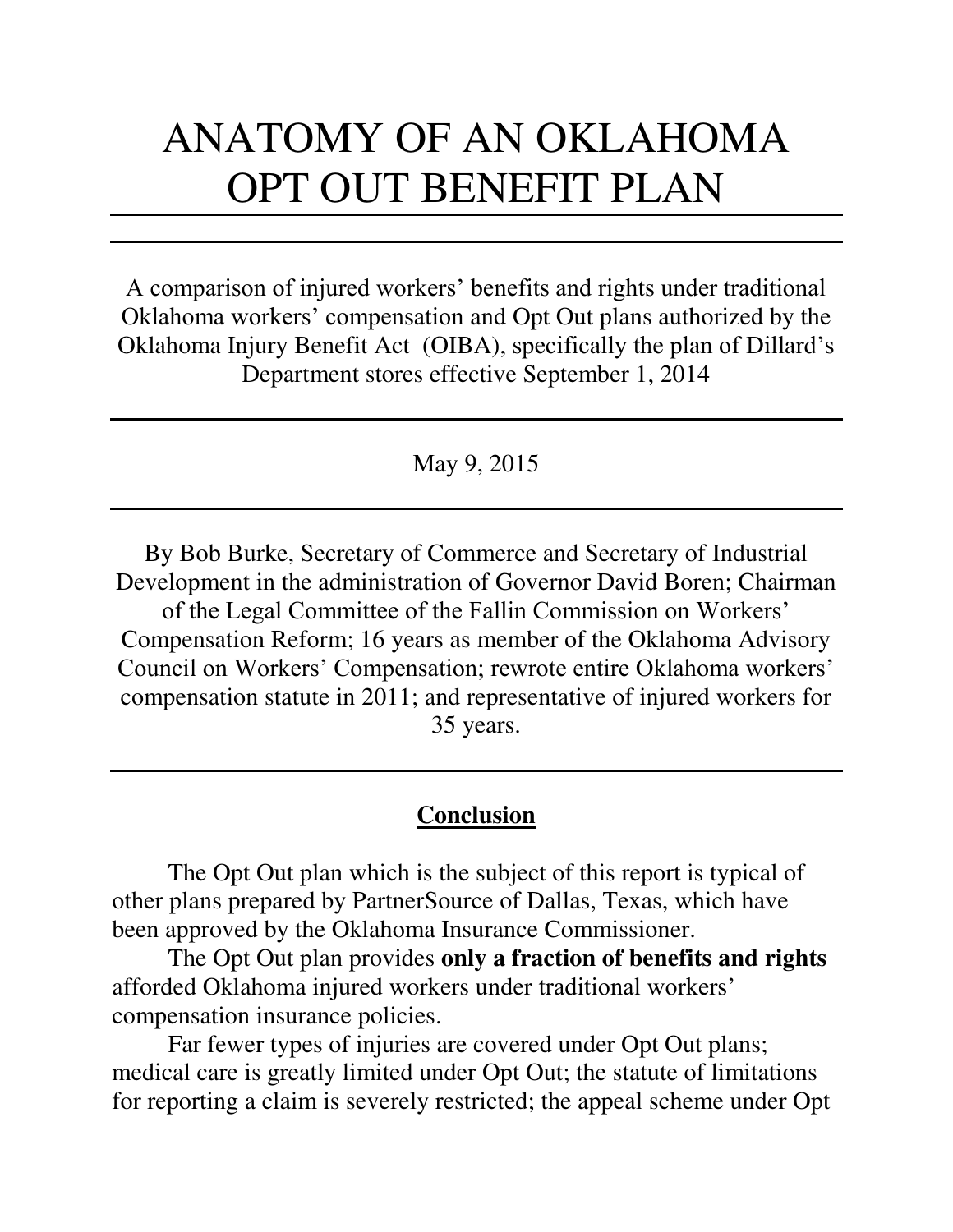# ANATOMY OF AN OKLAHOMA OPT OUT BENEFIT PLAN

A comparison of injured workers' benefits and rights under traditional Oklahoma workers' compensation and Opt Out plans authorized by the Oklahoma Injury Benefit Act (OIBA), specifically the plan of Dillard's Department stores effective September 1, 2014

May 9, 2015

By Bob Burke, Secretary of Commerce and Secretary of Industrial Development in the administration of Governor David Boren; Chairman of the Legal Committee of the Fallin Commission on Workers' Compensation Reform; 16 years as member of the Oklahoma Advisory Council on Workers' Compensation; rewrote entire Oklahoma workers' compensation statute in 2011; and representative of injured workers for 35 years.

# **Conclusion**

 The Opt Out plan which is the subject of this report is typical of other plans prepared by PartnerSource of Dallas, Texas, which have been approved by the Oklahoma Insurance Commissioner.

 The Opt Out plan provides **only a fraction of benefits and rights** afforded Oklahoma injured workers under traditional workers' compensation insurance policies.

 Far fewer types of injuries are covered under Opt Out plans; medical care is greatly limited under Opt Out; the statute of limitations for reporting a claim is severely restricted; the appeal scheme under Opt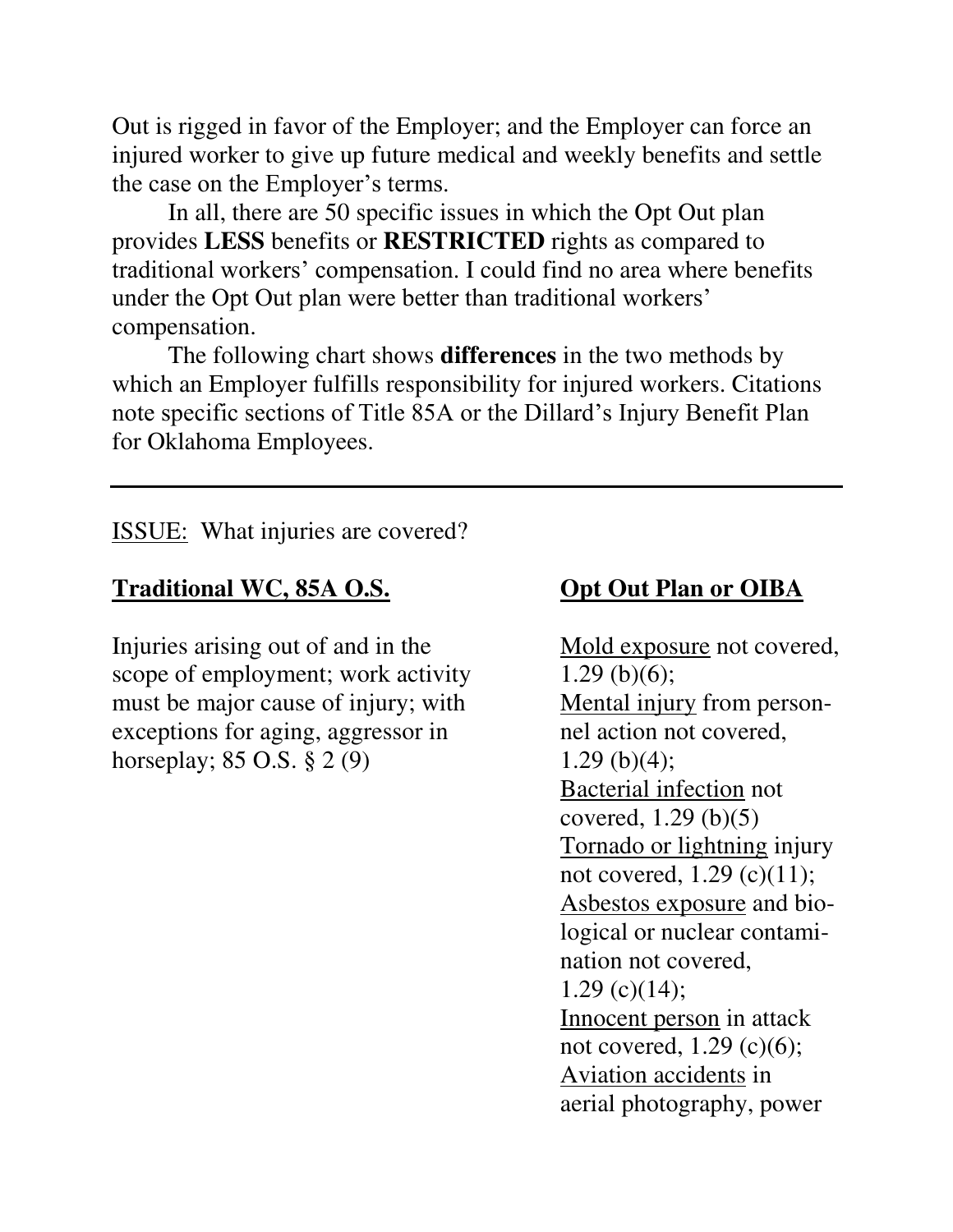Out is rigged in favor of the Employer; and the Employer can force an injured worker to give up future medical and weekly benefits and settle the case on the Employer's terms.

 In all, there are 50 specific issues in which the Opt Out plan provides **LESS** benefits or **RESTRICTED** rights as compared to traditional workers' compensation. I could find no area where benefits under the Opt Out plan were better than traditional workers' compensation.

 The following chart shows **differences** in the two methods by which an Employer fulfills responsibility for injured workers. Citations note specific sections of Title 85A or the Dillard's Injury Benefit Plan for Oklahoma Employees.

ISSUE: What injuries are covered?

# **Traditional WC, 85A O.S. Opt Out Plan or OIBA**

Injuries arising out of and in the Mold exposure not covered, scope of employment; work activity  $1.29$  (b)(6); must be major cause of injury; with Mental injury from person-<br>exceptions for aging, aggressor in hel action not covered, exceptions for aging, aggressor in horseplay;  $85 \text{ O.S.} \, \S \, 2 \, (9)$  1.29 (b)(4);

 Bacterial infection not covered, 1.29 (b)(5) Tornado or lightning injury not covered, 1.29 (c)(11); Asbestos exposure and bio logical or nuclear contami nation not covered, 1.29 (c) $(14)$ ; Innocent person in attack not covered, 1.29 (c)(6); Aviation accidents in aerial photography, power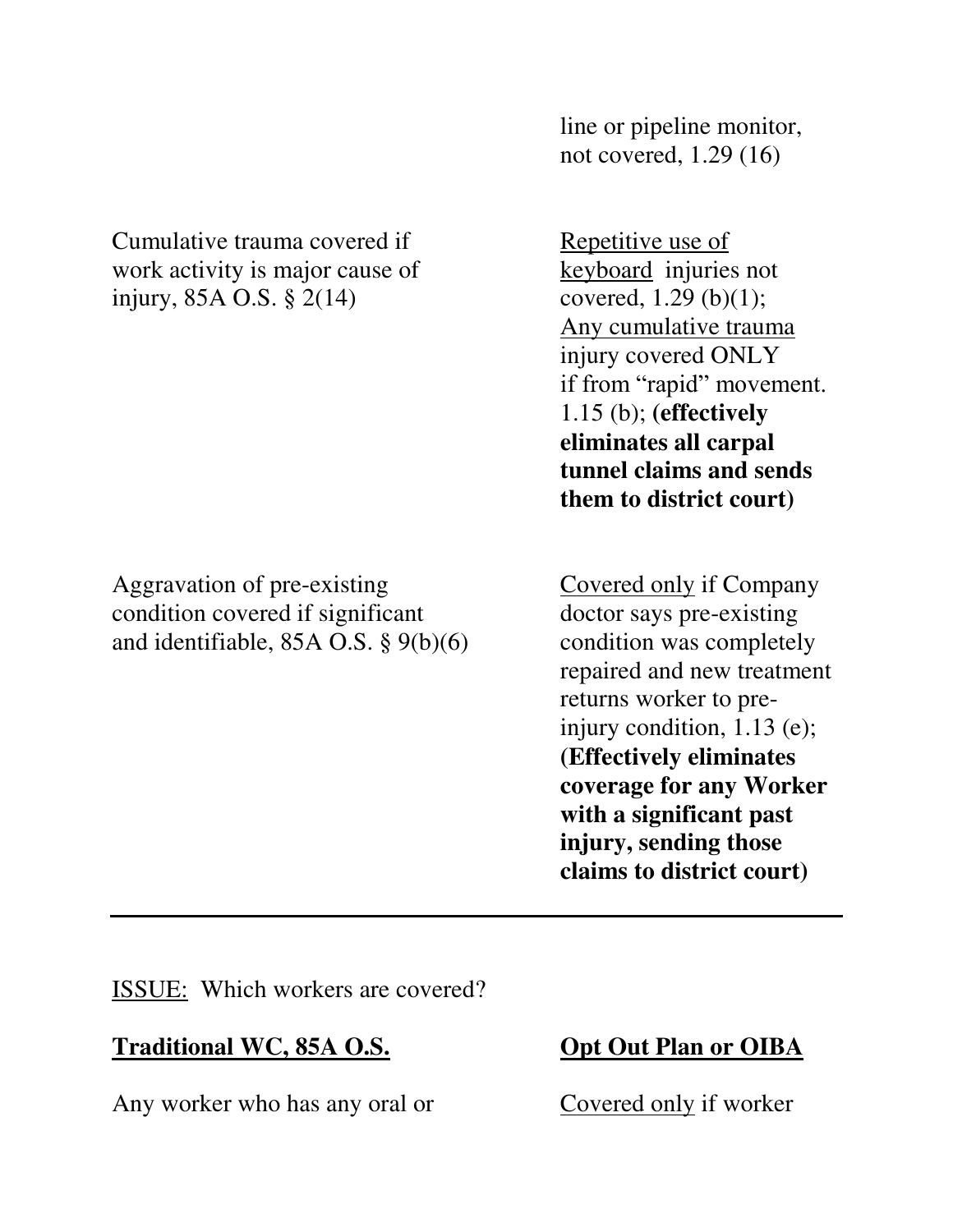| them to district court)                                                                                                                                                                                                                                                                                                                                                                                             | covered, $1.29$ (b)(1);<br>Any cumulative trauma<br>injury covered ONLY<br>if from "rapid" movement.<br>$1.15$ (b); (effectively<br>eliminates all carpal<br>tunnel claims and sends |
|---------------------------------------------------------------------------------------------------------------------------------------------------------------------------------------------------------------------------------------------------------------------------------------------------------------------------------------------------------------------------------------------------------------------|--------------------------------------------------------------------------------------------------------------------------------------------------------------------------------------|
| Aggravation of pre-existing<br><b>Covered only if Company</b><br>condition covered if significant<br>doctor says pre-existing<br>and identifiable, $85A$ O.S. $\S$ $9(b)(6)$<br>condition was completely<br>repaired and new treatment<br>returns worker to pre-<br>injury condition, $1.13$ (e);<br><b>(Effectively eliminates)</b><br>coverage for any Worker<br>with a significant past<br>injury, sending those |                                                                                                                                                                                      |

ISSUE: Which workers are covered?

# **Traditional WC, 85A O.S. Opt Out Plan or OIBA**

Any worker who has any oral or Covered only if worker

 line or pipeline monitor, not covered, 1.29 (16)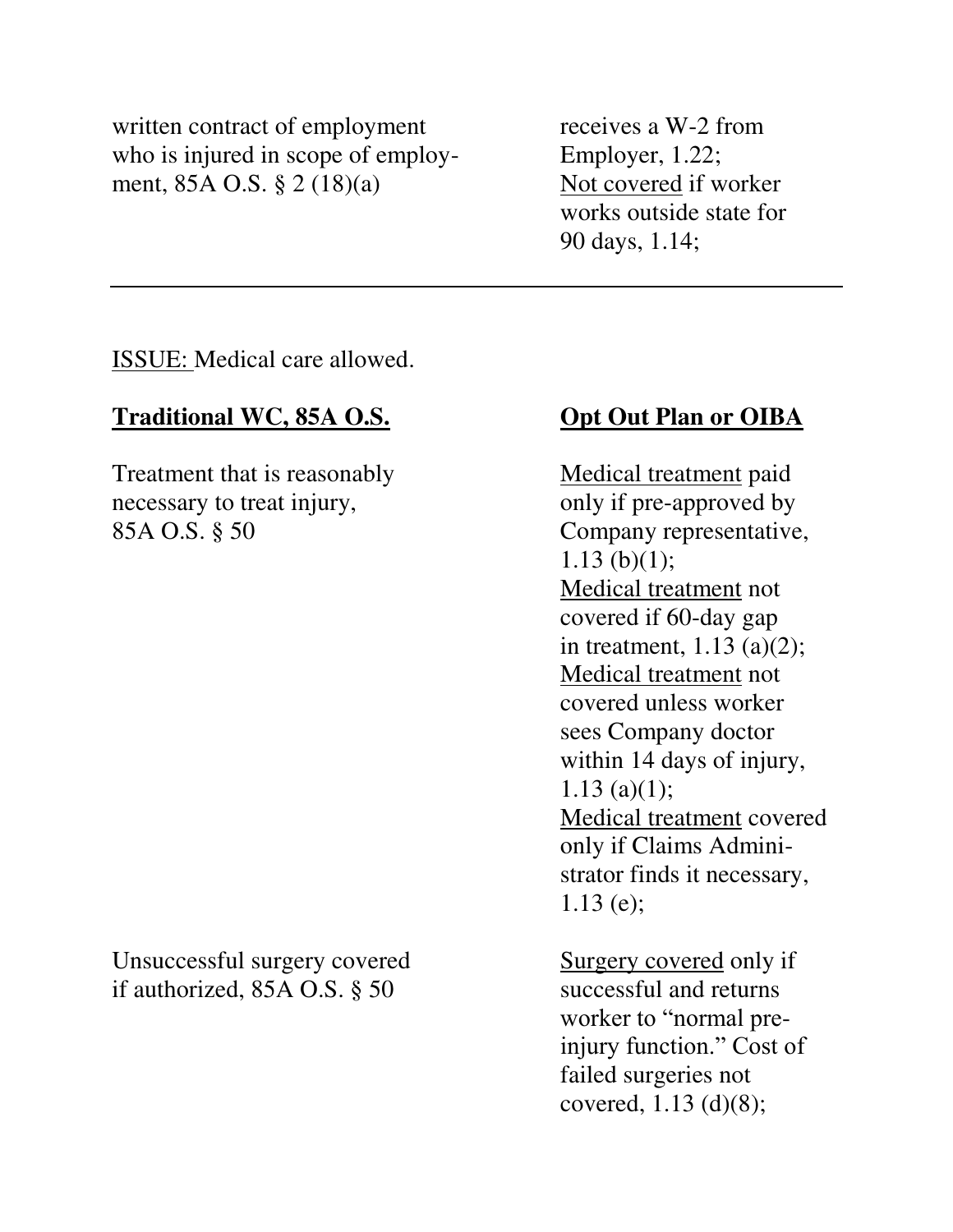written contract of employment receives a W-2 from who is injured in scope of employ-<br>Employer, 1.22; ment,  $85A$  O.S.  $\S$  2 (18)(a) Not covered if worker

 works outside state for 90 days, 1.14;

ISSUE: Medical care allowed.

# **Traditional WC, 85A O.S. Opt Out Plan or OIBA**

Treatment that is reasonably Medical treatment paid necessary to treat injury, only if pre-approved by 85A O.S. § 50 Company representative,

Unsuccessful surgery covered Surgery covered only if if authorized, 85A O.S. § 50 successful and returns

1.13 (b) $(1)$ ; Medical treatment not covered if 60-day gap in treatment, 1.13 (a)(2); Medical treatment not covered unless worker sees Company doctor within 14 days of injury, 1.13 (a)(1); Medical treatment covered only if Claims Admini strator finds it necessary, 1.13 (e);

 worker to "normal preinjury function." Cost of failed surgeries not covered, 1.13 (d)(8);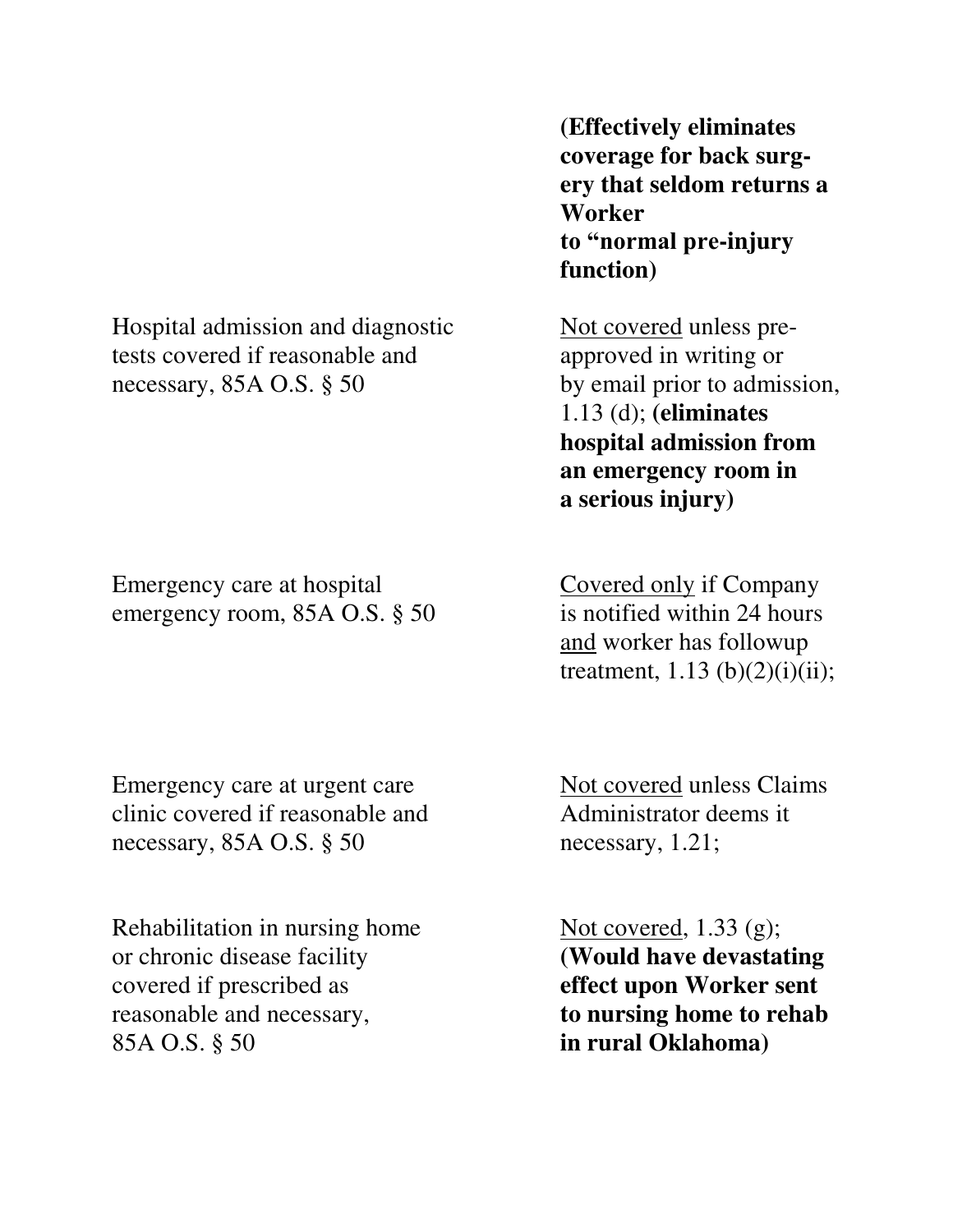Hospital admission and diagnostic Not covered unless pretests covered if reasonable and approved in writing or necessary, 85A O.S. § 50 by email prior to admission,

Emergency care at hospital Covered only if Company emergency room, 85A O.S. § 50 is notified within 24 hours

Emergency care at urgent care Not covered unless Claims clinic covered if reasonable and Administrator deems it necessary, 85A O.S. § 50 necessary, 1.21;

Rehabilitation in nursing home  $Not covered, 1.33 (g);$ or chronic disease facility **(Would have devastating**  covered if prescribed as **effect upon Worker sent** reasonable and necessary, **to nursing home to rehab** 85A O.S. § 50 **in rural Oklahoma)** 

 **(Effectively eliminates coverage for back surgery that seldom returns a Worker to "normal pre-injury function)** 

 1.13 (d); **(eliminates hospital admission from an emergency room in a serious injury)** 

 and worker has followup treatment,  $1.13$  (b) $(2)(i)(ii)$ ;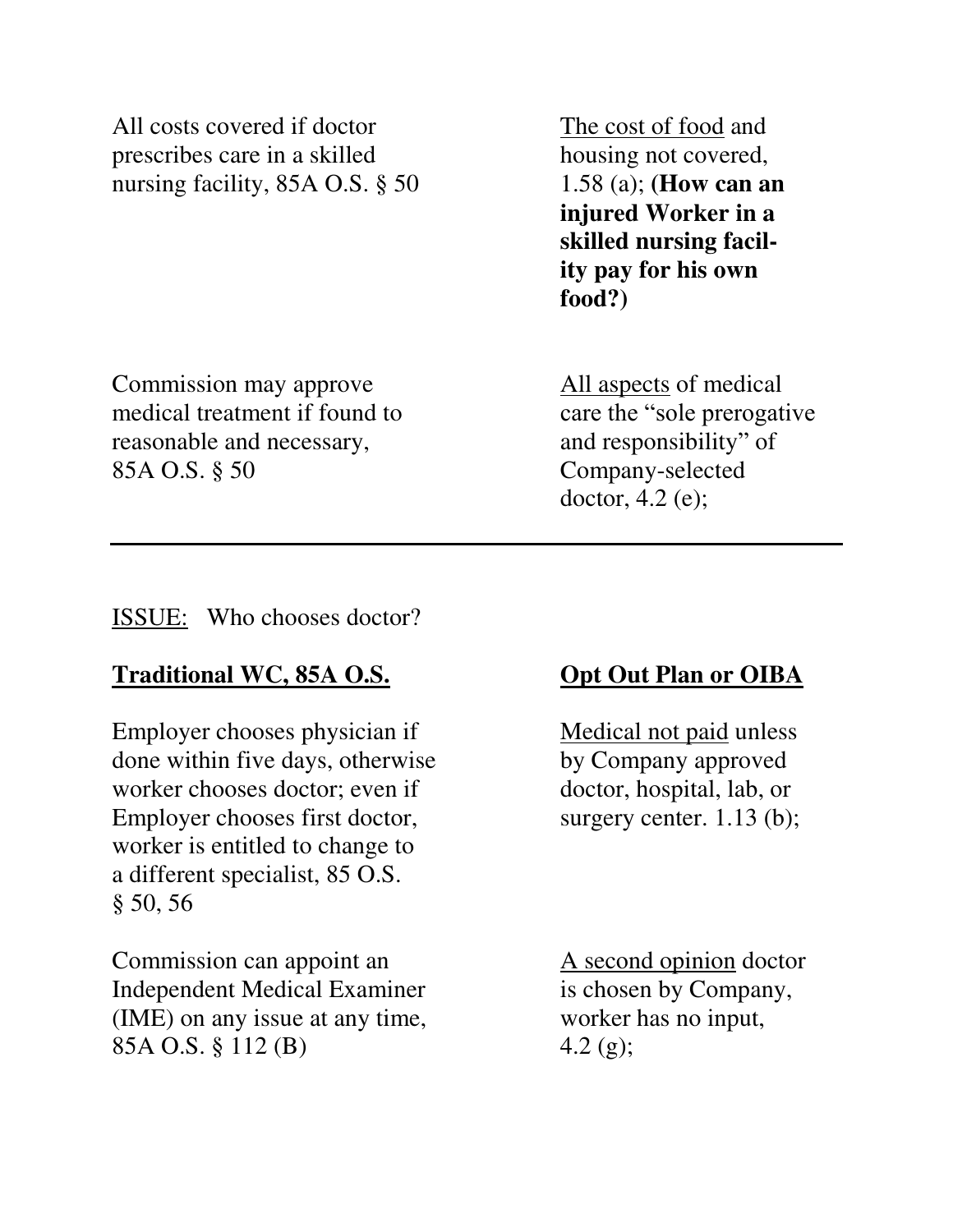All costs covered if doctor The cost of food and prescribes care in a skilled housing not covered, nursing facility, 85A O.S. § 50 1.58 (a); **(How can an** 

 **injured Worker in a skilled nursing facil ity pay for his own food?)** 

Commission may approve All aspects of medical medical treatment if found to care the "sole prerogative" reasonable and necessary, and responsibility" of 85A O.S. § 50 Company-selected

doctor, 4.2 (e);

### ISSUE: Who chooses doctor?

## **Traditional WC, 85A O.S. Opt Out Plan or OIBA**

Employer chooses physician if Medical not paid unless done within five days, otherwise by Company approved worker chooses doctor; even if doctor, hospital, lab, or Employer chooses first doctor, surgery center. 1.13 (b); worker is entitled to change to a different specialist, 85 O.S. § 50, 56

Commission can appoint an A second opinion doctor Independent Medical Examiner is chosen by Company, (IME) on any issue at any time, worker has no input, 85A O.S.  $\S 112 \text{ (B)}$  4.2 (g);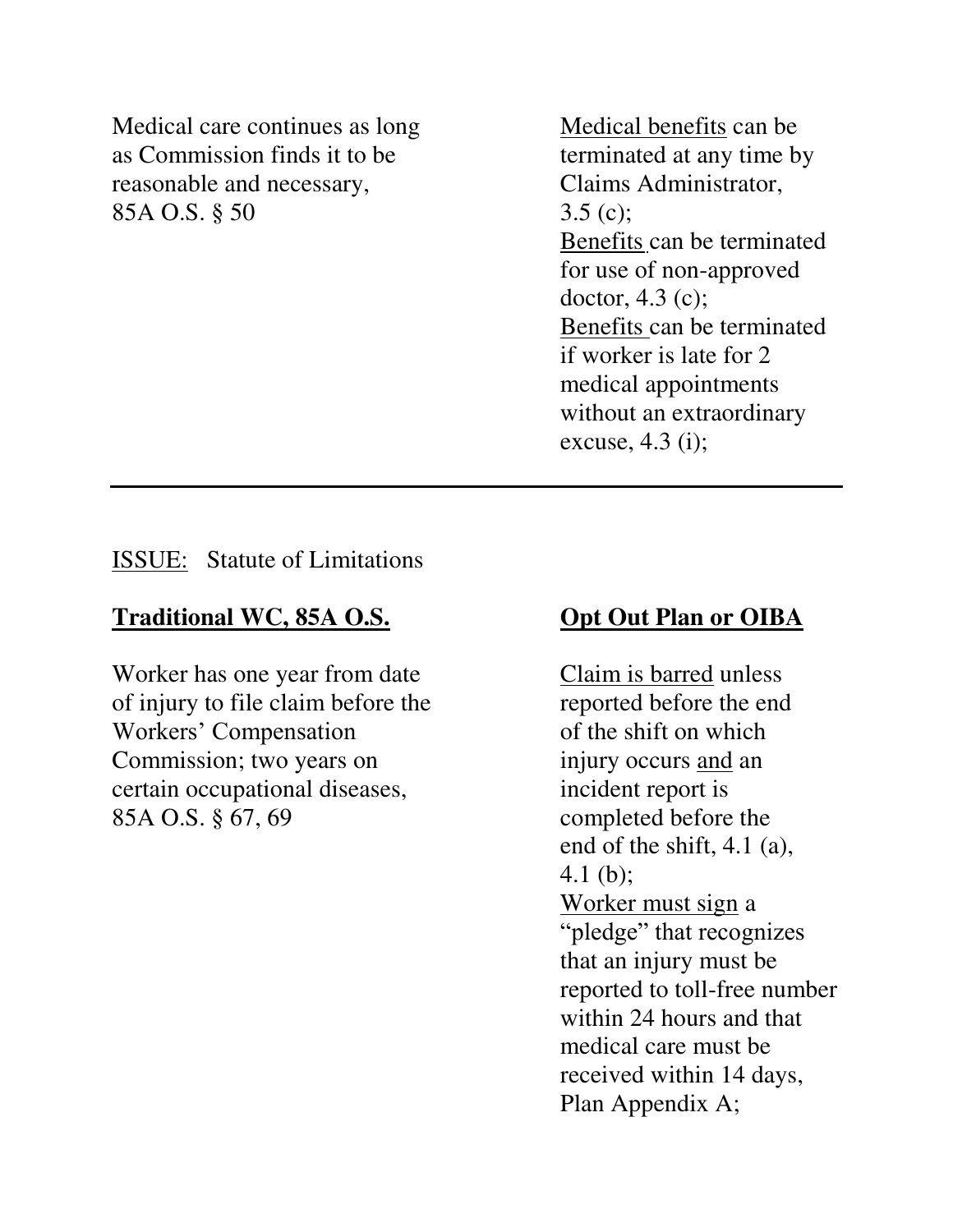Medical care continues as long Medical benefits can be as Commission finds it to be terminated at any time by reasonable and necessary, Claims Administrator, 85A O.S.  $\S$  50 3.5 (c);

 Benefits can be terminated for use of non-approved doctor, 4.3 (c); Benefits can be terminated if worker is late for 2 medical appointments without an extraordinary excuse, 4.3 (i);

ISSUE: Statute of Limitations

## Traditional WC, 85A O.S. Opt Out Plan or OIBA

Worker has one year from date Claim is barred unless of injury to file claim before the reported before the end Workers' Compensation of the shift on which Commission; two years on injury occurs and an certain occupational diseases, incident report is 85A O.S. § 67, 69 completed before the

 end of the shift, 4.1 (a), 4.1 (b); Worker must sign a "pledge" that recognizes that an injury must be reported to toll-free number within 24 hours and that medical care must be received within 14 days, Plan Appendix A;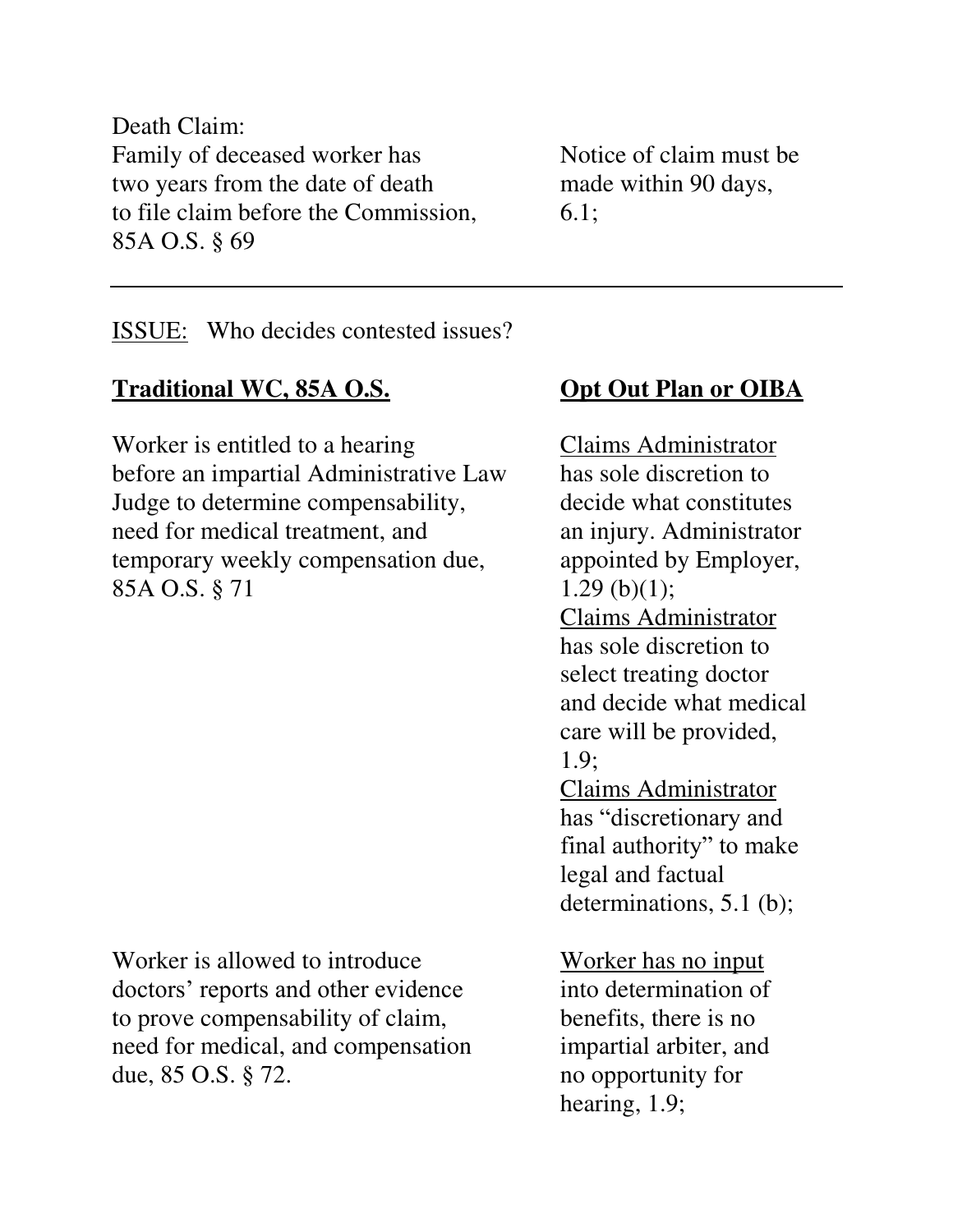Death Claim: Family of deceased worker has Notice of claim must be two years from the date of death made within 90 days, to file claim before the Commission, 6.1; 85A O.S. § 69

ISSUE: Who decides contested issues?

# **Traditional WC, 85A O.S. Opt Out Plan or OIBA**

Worker is entitled to a hearing Claims Administrator before an impartial Administrative Law has sole discretion to Judge to determine compensability, decide what constitutes need for medical treatment, and an injury. Administrator temporary weekly compensation due, appointed by Employer, 85A O.S.  $§ 71$  1.29 (b)(1);

Worker is allowed to introduce Worker has no input doctors' reports and other evidence into determination of to prove compensability of claim, benefits, there is no need for medical, and compensation impartial arbiter, and due, 85 O.S. § 72. no opportunity for

 Claims Administrator has sole discretion to select treating doctor and decide what medical care will be provided, 1.9; Claims Administrator has "discretionary and final authority" to make legal and factual determinations, 5.1 (b);

hearing, 1.9;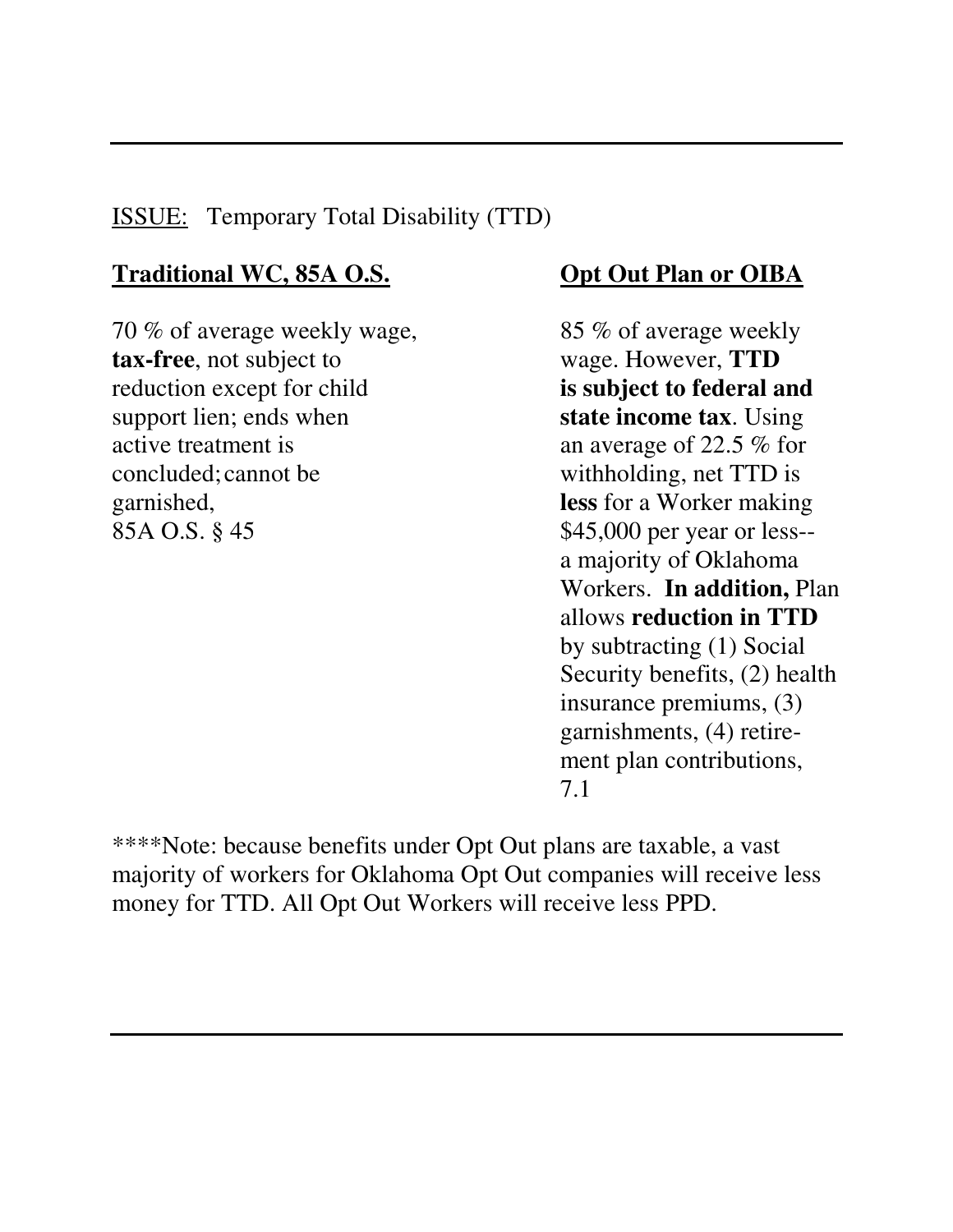# ISSUE: Temporary Total Disability (TTD)

# **Traditional WC, 85A O.S. Opt Out Plan or OIBA**

70 % of average weekly wage, 85 % of average weekly **tax-free**, not subject to wage. However, **TTD**  reduction except for child **is subject to federal and** support lien; ends when **state income tax**. Using active treatment is an average of 22.5 % for concluded; cannot be withholding, net TTD is garnished, **less** for a Worker making 85A O.S. § 45 \$45,000 per year or less--

a majority of Oklahoma Workers. **In addition,** Plan allows **reduction in TTD** by subtracting (1) Social Security benefits, (2) health insurance premiums, (3) garnishments, (4) retire ment plan contributions, 7.1

\*\*\*\*Note: because benefits under Opt Out plans are taxable, a vast majority of workers for Oklahoma Opt Out companies will receive less money for TTD. All Opt Out Workers will receive less PPD.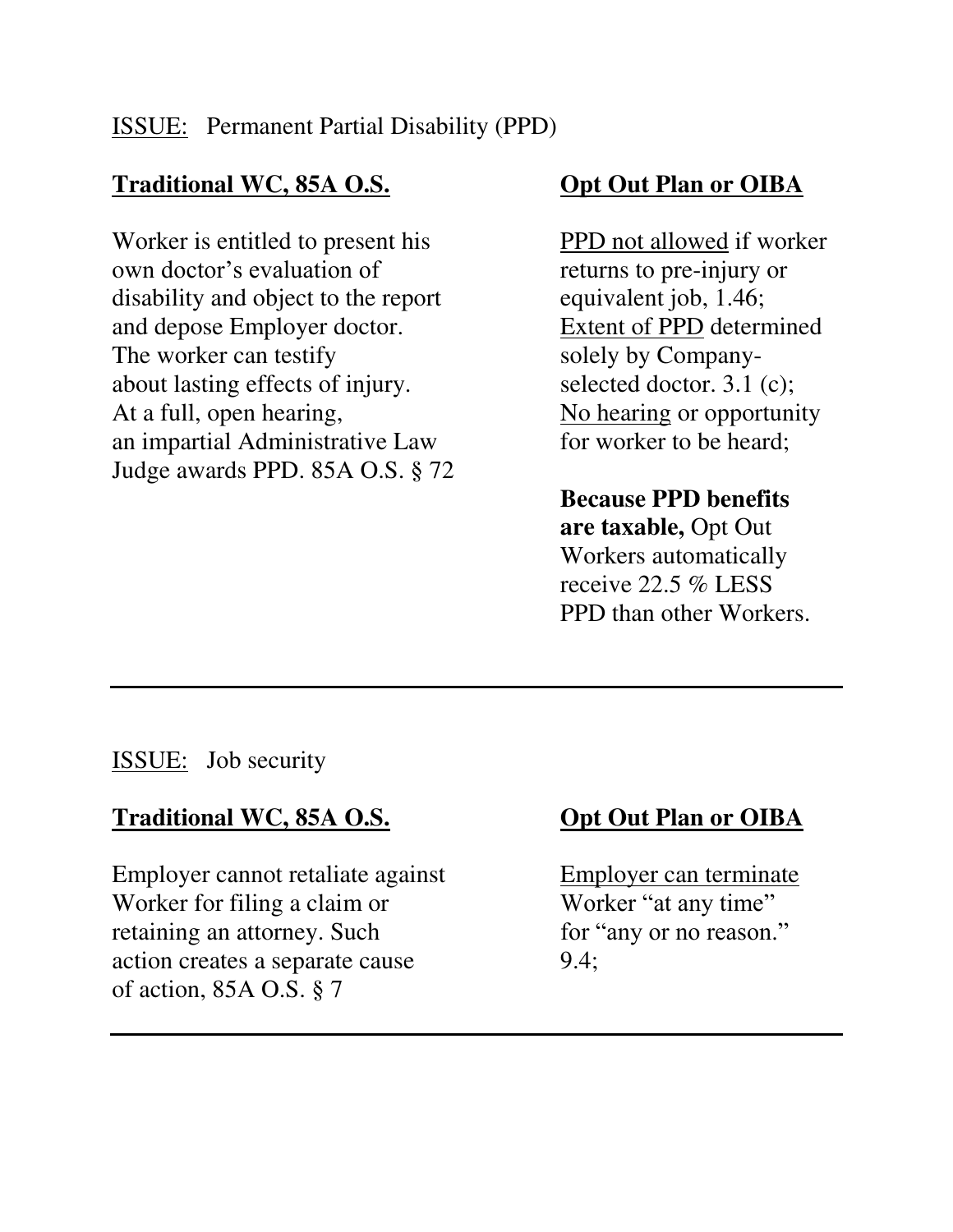# **Traditional WC, 85A O.S. Opt Out Plan or OIBA**

Worker is entitled to present his PPD not allowed if worker own doctor's evaluation of returns to pre-injury or disability and object to the report equivalent job, 1.46; and depose Employer doctor. Extent of PPD determined The worker can testify solely by Companyabout lasting effects of injury. selected doctor. 3.1 (c); At a full, open hearing, No hearing or opportunity an impartial Administrative Law for worker to be heard; Judge awards PPD. 85A O.S. § 72

 **Because PPD benefits are taxable,** Opt Out Workers automatically receive 22.5 % LESS PPD than other Workers.

ISSUE: Job security

# **Traditional WC, 85A O.S. Opt Out Plan or OIBA**

Employer cannot retaliate against Employer can terminate Worker for filing a claim or Worker "at any time" retaining an attorney. Such for "any or no reason." action creates a separate cause 9.4; of action, 85A O.S. § 7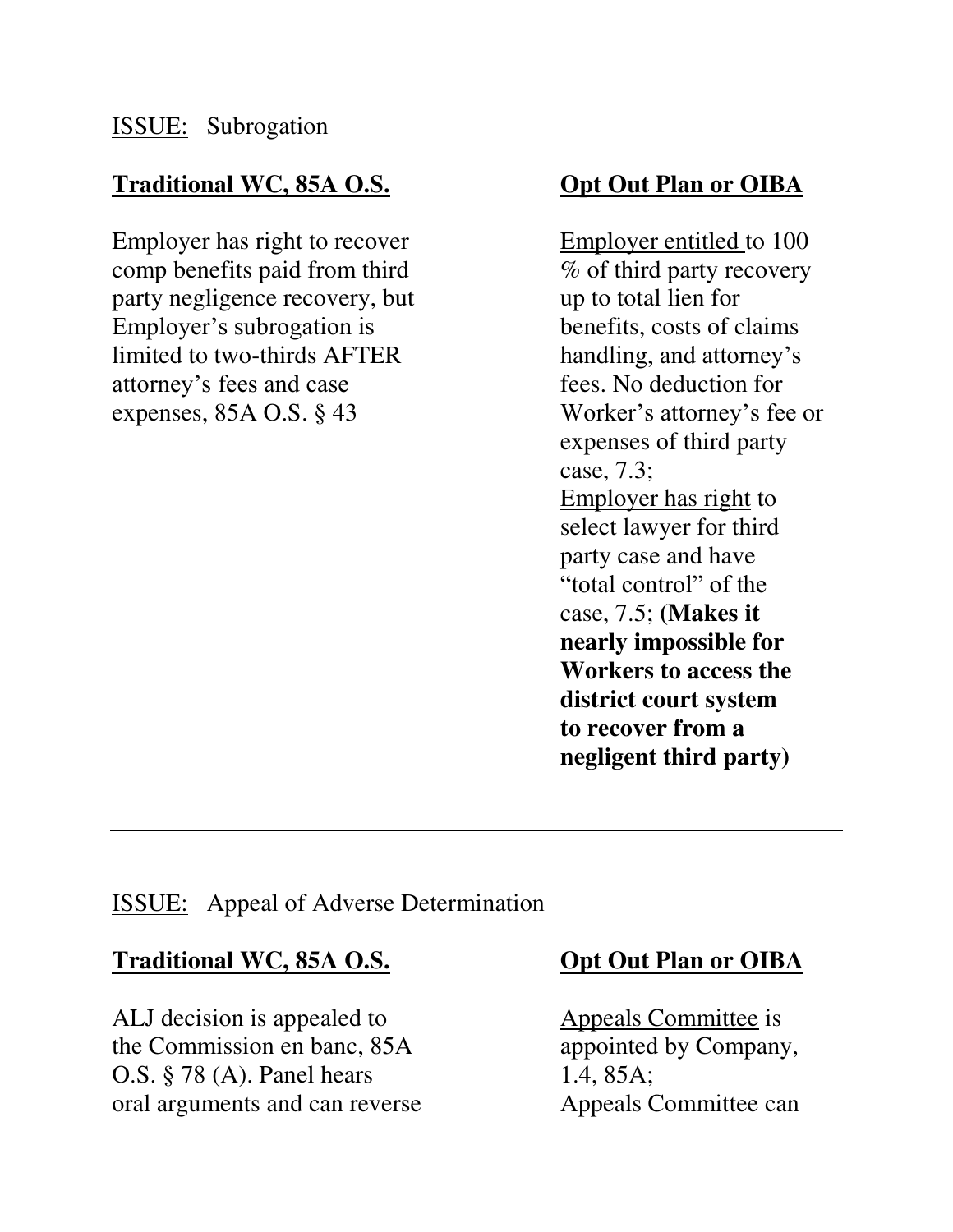# **Traditional WC, 85A O.S. Opt Out Plan or OIBA**

Employer has right to recover Employer entitled to 100 comp benefits paid from third  $\%$  of third party recovery party negligence recovery, but up to total lien for Employer's subrogation is benefits, costs of claims limited to two-thirds AFTER handling, and attorney's attorney's fees and case fees. No deduction for expenses, 85A O.S. § 43 Worker's attorney's fee or

 expenses of third party case, 7.3; Employer has right to select lawyer for third party case and have "total control" of the case, 7.5; **(Makes it nearly impossible for Workers to access the district court system to recover from a negligent third party)** 

### ISSUE: Appeal of Adverse Determination

### **Traditional WC, 85A O.S. Opt Out Plan or OIBA**

ALJ decision is appealed to Appeals Committee is the Commission en banc, 85A appointed by Company, O.S. § 78 (A). Panel hears 1.4, 85A; oral arguments and can reverse Appeals Committee can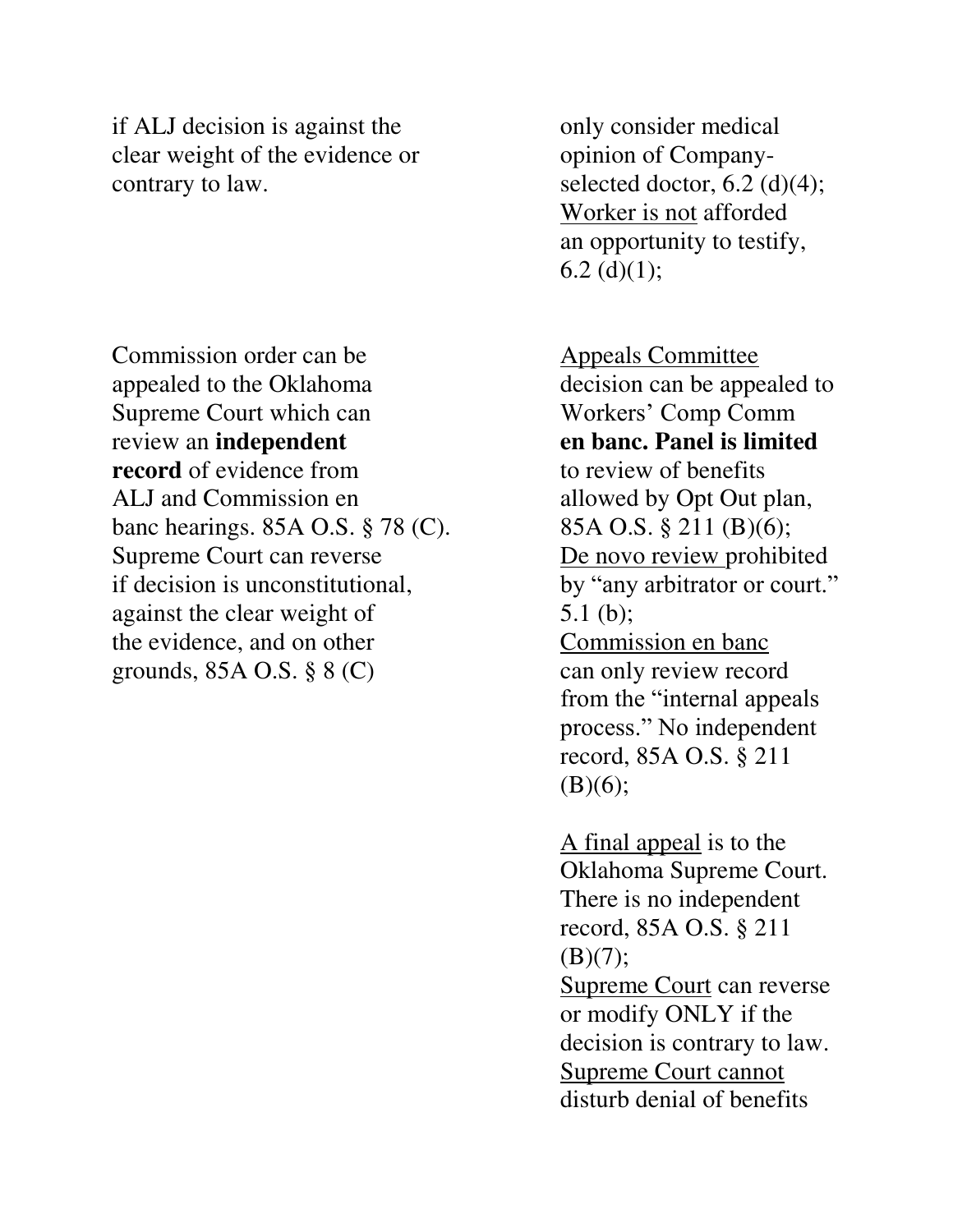if ALJ decision is against the only consider medical clear weight of the evidence or opinion of Companycontrary to law. selected doctor,  $6.2 \text{ (d)}(4)$ ;

Commission order can be Appeals Committee appealed to the Oklahoma decision can be appealed to Supreme Court which can Workers' Comp Comm review an **independent en banc. Panel is limited record** of evidence from to review of benefits ALJ and Commission en allowed by Opt Out plan, banc hearings.  $85A$  O.S.  $\S$  78 (C). 85A O.S.  $\S$  211 (B)(6); Supreme Court can reverse De novo review prohibited if decision is unconstitutional, by "any arbitrator or court." against the clear weight of 5.1 (b); the evidence, and on other Commission en banc grounds,  $85A \text{ O.S.}$   $\S 8 \text{ (C)}$  can only review record

 Worker is not afforded an opportunity to testify, 6.2 $(d)(1);$ 

 from the "internal appeals process." No independent record, 85A O.S. § 211  $(B)(6);$ 

 A final appeal is to the Oklahoma Supreme Court. There is no independent record, 85A O.S. § 211  $(B)(7);$  Supreme Court can reverse or modify ONLY if the decision is contrary to law. Supreme Court cannot disturb denial of benefits